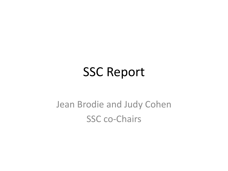#### **SSC Report**

#### Jean Brodie and Judy Cohen SSC co-Chairs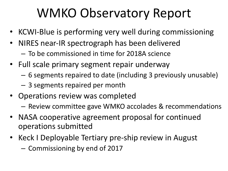### WMKO Observatory Report

- KCWI-Blue is performing very well during commissioning
- NIRES near-IR spectrograph has been delivered – To be commissioned in time for 2018A science
- Full scale primary segment repair underway
	- 6 segments repaired to date (including 3 previously unusable)
	- $-$  3 segments repaired per month
- Operations review was completed
	- Review committee gave WMKO accolades & recommendations
- NASA cooperative agreement proposal for continued operations submitted
- Keck I Deployable Tertiary pre-ship review in August
	- Commissioning by end of 2017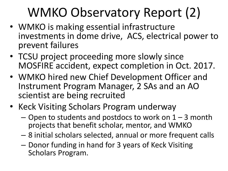## WMKO Observatory Report (2)

- WMKO is making essential infrastructure investments in dome drive, ACS, electrical power to prevent failures
- TCSU project proceeding more slowly since MOSFIRE accident, expect completion in Oct. 2017.
- WMKO hired new Chief Development Officer and Instrument Program Manager, 2 SAs and an AO scientist are being recruited
- Keck Visiting Scholars Program underway
	- $-$  Open to students and postdocs to work on  $1 3$  month projects that benefit scholar, mentor, and WMKO
	- $-$  8 initial scholars selected, annual or more frequent calls
	- $-$  Donor funding in hand for 3 years of Keck Visiting Scholars Program.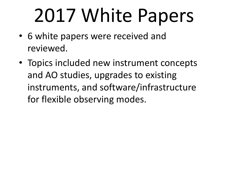# 2017 White Papers

- 6 white papers were received and reviewed.
- Topics included new instrument concepts and AO studies, upgrades to existing instruments, and software/infrastructure for flexible observing modes.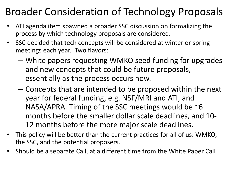#### Broader Consideration of Technology Proposals

- ATI agenda item spawned a broader SSC discussion on formalizing the process by which technology proposals are considered.
- SSC decided that tech concepts will be considered at winter or spring meetings each year. Two flavors:
	- $-$  White papers requesting WMKO seed funding for upgrades and new concepts that could be future proposals, essentially as the process occurs now.
	- $-$  Concepts that are intended to be proposed within the next year for federal funding, e.g. NSF/MRI and ATI, and NASA/APRA. Timing of the SSC meetings would be  $\sim$ 6 months before the smaller dollar scale deadlines, and 10-12 months before the more major scale deadlines.
- This policy will be better than the current practices for all of us: WMKO, the SSC, and the potential proposers.
- Should be a separate Call, at a different time from the White Paper Call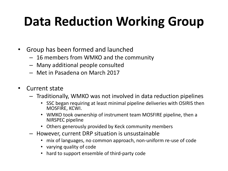# **Data Reduction Working Group**

- Group has been formed and launched
	- $-16$  members from WMKO and the community
	- Many additional people consulted
	- $-$  Met in Pasadena on March 2017
- Current state
	- $-$  Traditionally, WMKO was not involved in data reduction pipelines
		- SSC began requiring at least minimal pipeline deliveries with OSIRIS then MOSFIRE, KCWI.
		- WMKO took ownership of instrument team MOSFIRE pipeline, then a NIRSPEC pipeline
		- Others generously provided by Keck community members
	- $-$  However, current DRP situation is unsustainable
		- mix of languages, no common approach, non-uniform re-use of code
		- varying quality of code
		- hard to support ensemble of third-party code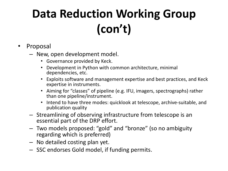## **Data Reduction Working Group (con't)**

- **Proposal** 
	- New, open development model.
		- Governance provided by Keck.
		- Development in Python with common architecture, minimal dependencies, etc.
		- Exploits software and management expertise and best practices, and Keck expertise in instruments.
		- Aiming for "classes" of pipeline (e.g. IFU, imagers, spectrographs) rather than one pipeline/instrument.
		- Intend to have three modes: quicklook at telescope, archive-suitable, and publication quality
	- $-$  Streamlining of observing infrastructure from telescope is an essential part of the DRP effort.
	- $-$  Two models proposed: "gold" and "bronze" (so no ambiguity regarding which is preferred)
	- No detailed costing plan yet.
	- $-$  SSC endorses Gold model, if funding permits.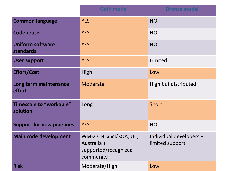|                                             | <b>Gold model</b>                                                         | <b>Bronze model</b>                        |
|---------------------------------------------|---------------------------------------------------------------------------|--------------------------------------------|
| <b>Common language</b>                      | <b>YES</b>                                                                | <b>NO</b>                                  |
| <b>Code reuse</b>                           | <b>YES</b>                                                                | <b>NO</b>                                  |
| <b>Uniform software</b><br><b>standards</b> | <b>YES</b>                                                                | <b>NO</b>                                  |
| <b>User support</b>                         | <b>YES</b>                                                                | Limited                                    |
| <b>Effort/Cost</b>                          | High                                                                      | Low                                        |
| Long term maintenance<br>effort             | Moderate                                                                  | High but distributed                       |
| <b>Timescale to "workable"</b><br>solution  | Long                                                                      | Short                                      |
| <b>Support for new pipelines</b>            | <b>YES</b>                                                                | <b>NO</b>                                  |
| <b>Main code development</b>                | WMKO, NExScl/KOA, UC,<br>Australia +<br>supported/recognized<br>community | Individual developers +<br>limited support |
| <b>Risk</b>                                 | Moderate/High                                                             | Low                                        |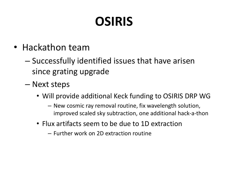# **OSIRIS**

- Hackathon team
	- $-$  Successfully identified issues that have arisen since grating upgrade
	- Next steps
		- Will provide additional Keck funding to OSIRIS DRP WG
			- $-$  New cosmic ray removal routine, fix wavelength solution, improved scaled sky subtraction, one additional hack-a-thon
		- Flux artifacts seem to be due to 1D extraction
			- $-$  Further work on  $2D$  extraction routine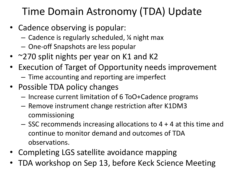#### Time Domain Astronomy (TDA) Update

- Cadence observing is popular:
	- $-$  Cadence is regularly scheduled,  $\frac{1}{4}$  night max
	- $-$  One-off Snapshots are less popular
- $\approx$  270 split nights per year on K1 and K2
- Execution of Target of Opportunity needs improvement  $-$  Time accounting and reporting are imperfect
- Possible TDA policy changes
	- Increase current limitation of 6 ToO+Cadence programs
	- Remove instrument change restriction after K1DM3 commissioning
	- $-$  SSC recommends increasing allocations to 4 + 4 at this time and continue to monitor demand and outcomes of TDA observations.
- Completing LGS satellite avoidance mapping
- TDA workshop on Sep 13, before Keck Science Meeting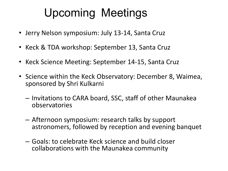#### Upcoming Meetings

- Jerry Nelson symposium: July 13-14, Santa Cruz
- Keck & TDA workshop: September 13, Santa Cruz
- Keck Science Meeting: September 14-15, Santa Cruz
- Science within the Keck Observatory: December 8, Waimea, sponsored by Shri Kulkarni
	- $-$  Invitations to CARA board, SSC, staff of other Maunakea observatories
	- $-$  Afternoon symposium: research talks by support astronomers, followed by reception and evening banquet
	- Goals: to celebrate Keck science and build closer collaborations with the Maunakea community